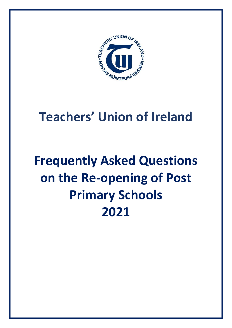

# **Teachers' Union of Ireland**

# **Frequently Asked Questions on the Re-opening of Post Primary Schools 2021**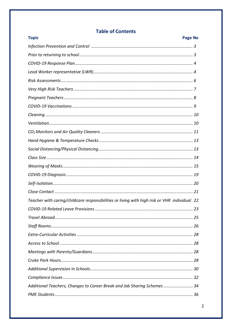# **Table of Contents**

| <b>Topic</b>                                                                                 | Page No |
|----------------------------------------------------------------------------------------------|---------|
|                                                                                              |         |
|                                                                                              |         |
|                                                                                              |         |
|                                                                                              |         |
|                                                                                              |         |
|                                                                                              |         |
|                                                                                              |         |
|                                                                                              |         |
|                                                                                              |         |
|                                                                                              |         |
|                                                                                              |         |
|                                                                                              |         |
|                                                                                              |         |
|                                                                                              |         |
|                                                                                              |         |
|                                                                                              |         |
|                                                                                              |         |
|                                                                                              |         |
| Teacher with caring/childcare responsibilities or living with high risk or VHR individual 22 |         |
|                                                                                              |         |
|                                                                                              |         |
|                                                                                              |         |
|                                                                                              |         |
|                                                                                              |         |
|                                                                                              |         |
|                                                                                              |         |
|                                                                                              |         |
|                                                                                              |         |
| Additional Teachers, Changes to Career Break and Job Sharing Schemes  34                     |         |
|                                                                                              |         |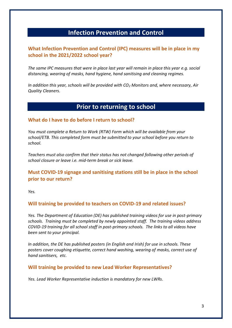# **Infection Prevention and Control**

# **What Infection Prevention and Control (IPC) measures will be in place in my school in the 2021/2022 school year?**

*The same IPC measures that were in place last year will remain in place this year e.g. social distancing, wearing of masks, hand hygiene, hand sanitising and cleaning regimes.* 

*In addition this year, schools will be provided with CO<sup>2</sup> Monitors and, where necessary, Air Quality Cleaners.*

# **Prior to returning to school**

#### **What do I have to do before I return to school?**

*You must complete a Return to Work (RTW) Form which will be available from your school/ETB. This completed form must be submitted to your school before you return to school.*

*Teachers must also confirm that their status has not changed following other periods of school closure or leave i.e. mid-term break or sick leave.*

# **Must COVID-19 signage and sanitising stations still be in place in the school prior to our return?**

*Yes.* 

## **Will training be provided to teachers on COVID-19 and related issues?**

*Yes. The Department of Education (DE) has published training videos for use in post-primary schools. Training must be completed by newly appointed staff. The training videos address COVID-19 training for all school staff in post-primary schools. The links to all videos have been sent to your principal.*

*In addition, the DE has published posters (in English and Irish) for use in schools. These posters cover coughing etiquette, correct hand washing, wearing of masks, correct use of hand sanitisers, etc.*

#### **Will training be provided to new Lead Worker Representatives?**

*Yes. Lead Worker Representative induction is mandatory for new LWRs.*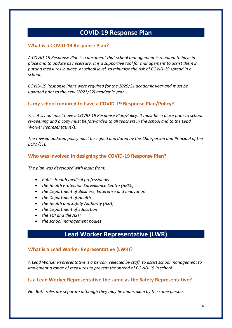# **COVID-19 Response Plan**

## **What is a COVID-19 Response Plan?**

*A COVID-19 Response Plan is a document that school management is required to have in place and to update as necessary. It is a supportive tool for management to assist them in putting measures in place, at school level, to minimise the risk of COVID-19 spread in a school.* 

*COVID-19 Response Plans were required for the 2020/21 academic year and must be updated prior to the new (2021/22) academic year.*

## **Is my school required to have a COVID-19 Response Plan/Policy?**

*Yes. A school must have a COVID-19 Response Plan/Policy. It must be in place prior to school re-opening and a copy must be forwarded to all teachers in the school and to the Lead Worker Representative/s.*

*The revised updated policy must be signed and dated by the Chairperson and Principal of the BOM/ETB.*

## **Who was involved in designing the COVID-19 Response Plan?**

*The plan was developed with input from:*

- *Public Health medical professionals*
- *the Health Protection Surveillance Centre (HPSC)*
- *the Department of Business, Enterprise and Innovation*
- *the Department of Health*
- *the Health and Safety Authority (HSA)*
- *the Department of Education*
- *the TUI and the ASTI*
- *the school management bodies*

# **Lead Worker Representative (LWR)**

## **What is a Lead Worker Representative (LWR)?**

*A Lead Worker Representative is a person, selected by staff, to assist school management to implement a range of measures to prevent the spread of COVID-19 in school.*

#### **Is a Lead Worker Representative the same as the Safety Representative?**

*No. Both roles are separate although they may be undertaken by the same person.*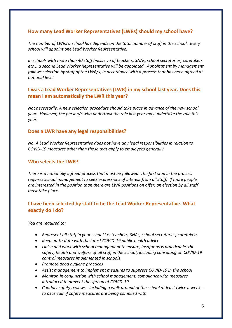# **How many Lead Worker Representatives (LWRs) should my school have?**

*The number of LWRs a school has depends on the total number of staff in the school. Every school will appoint one Lead Worker Representative.* 

*In schools with more than 40 staff (inclusive of teachers, SNAs, school secretaries, caretakers etc.), a second Lead Worker Representative will be appointed. Appointment by management follows selection by staff of the LWR/s, in accordance with a process that has been agreed at national level.* 

# **I was a Lead Worker Representatives (LWR) in my school last year. Does this mean I am automatically the LWR this year?**

*Not necessarily. A new selection procedure should take place in advance of the new school year. However, the person/s who undertook the role last year may undertake the role this year.*

#### **Does a LWR have any legal responsibilities?**

*No. A Lead Worker Representative does not have any legal responsibilities in relation to COVID-19 measures other than those that apply to employees generally.* 

#### **Who selects the LWR?**

*There is a nationally agreed process that must be followed. The first step in the process requires school management to seek expressions of interest from all staff. If more people are interested in the position than there are LWR positions on offer, an election by all staff must take place.*

# **I have been selected by staff to be the Lead Worker Representative. What exactly do I do?**

*You are required to:*

- *Represent all staff in your school i.e. teachers, SNAs, school secretaries, caretakers*
- *Keep up-to-date with the latest COVID-19 public health advice*
- *Liaise and work with school management to ensure, insofar as is practicable, the safety, health and welfare of all staff in the school, including consulting on COVID-19 control measures implemented in schools*
- *Promote good hygiene practices*
- *Assist management to implement measures to suppress COVID-19 in the school*
- *Monitor, in conjunction with school management, compliance with measures introduced to prevent the spread of COVID-19*
- *Conduct safety reviews - including a walk around of the school at least twice a week to ascertain if safety measures are being complied with*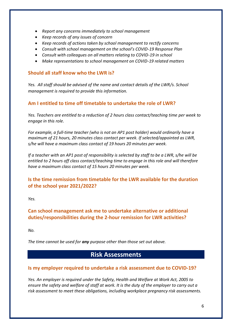- *Report any concerns immediately to school management*
- *Keep records of any issues of concern*
- *Keep records of actions taken by school management to rectify concerns*
- *Consult with school management on the school's COVID-19 Response Plan*
- *Consult with colleagues on all matters relating to COVID-19 in school*
- *Make representations to school management on COVID-19 related matters*

#### **Should all staff know who the LWR is?**

*Yes. All staff should be advised of the name and contact details of the LWR/s. School management is required to provide this information.*

## **Am I entitled to time off timetable to undertake the role of LWR?**

*Yes. Teachers are entitled to a reduction of 2 hours class contact/teaching time per week to engage in this role.* 

*For example, a full-time teacher (who is not an AP1 post holder) would ordinarily have a maximum of 21 hours, 20 minutes class contact per week. If selected/appointed as LWR, s/he will have a maximum class contact of 19 hours 20 minutes per week.*

*If a teacher with an AP1 post of responsibility is selected by staff to be a LWR, s/he will be entitled to 2 hours off class contact/teaching time to engage in this role and will therefore have a maximum class contact of 15 hours 20 minutes per week.* 

# **Is the time remission from timetable for the LWR available for the duration of the school year 2021/2022?**

*Yes.* 

# **Can school management ask me to undertake alternative or additional duties/responsibilities during the 2-hour remission for LWR activities?**

*No.* 

*The time cannot be used for any purpose other than those set out above.*

# **Risk Assessments**

## **Is my employer required to undertake a risk assessment due to COVID-19?**

*Yes. An employer is required under the Safety, Health and Welfare at Work Act, 2005 to ensure the safety and welfare of staff at work. It is the duty of the employer to carry out a risk assessment to meet these obligations, including workplace pregnancy risk assessments.*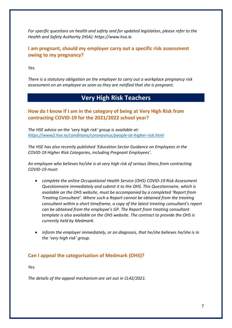*For specific questions on health and safety and for updated legislation, please refer to the Health and Safety Authority (HSA): https://www.hsa.ie.* 

**I am pregnant, should my employer carry out a specific risk assessment owing to my pregnancy?**

*Yes.* 

*There is a statutory obligation on the employer to carry out a workplace pregnancy risk assessment on an employee as soon as they are notified that she is pregnant.* 

# **Very High Risk Teachers**

# **How do I know if I am in the category of being at Very High Risk from contracting COVID-19 for the 2021/2022 school year?**

*The HSE advice on the 'very high risk' group is available at: <https://www2.hse.ie/conditions/coronavirus/people-at-higher-risk.html>*

*The HSE has also recently published 'Education Sector Guidance on Employees in the COVID-19 Higher Risk Categories, including Pregnant Employees'.* 

*An employee who believes he/she is at very high risk of serious illness from contracting COVID-19 must:* 

- *complete the online Occupational Health Service (OHS) COVID-19 Risk Assessment Questionnaire immediately and submit it to the OHS. This Questionnaire, which is available on the OHS website, must be accompanied by a completed 'Report from Treating Consultant'. Where such a Report cannot be obtained from the treating consultant within a short timeframe, a copy of the latest treating consultant's report can be obtained from the employee's GP. The Report from treating consultant template is also available on the OHS website. The contract to provide the OHS is currently held by Medmark.*
- *inform the employer immediately, or on diagnosis, that he/she believes he/she is in the 'very high risk' group.*

# **Can I appeal the categorisation of Medmark (OHS)?**

*Yes.* 

*The details of the appeal mechanism are set out in CL42/2021.*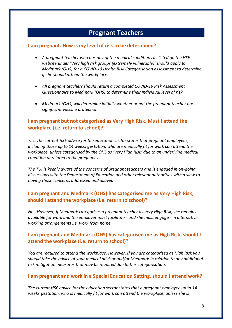# **Pregnant Teachers**

#### **I am pregnant. How is my level of risk to be determined?**

- *A pregnant teacher who has any of the medical conditions as listed on the HSE website under 'Very high risk groups (extremely vulnerable)' should apply to Medmark (OHS) for a COVID-19 Health Risk Categorisation assessment to determine if she should attend the workplace.*
- *All pregnant teachers should return a completed COVID-19 Risk Assessment Questionnaire to Medmark (OHS) to determine their individual level of risk.*
- *Medmark (OHS) will determine initially whether or not the pregnant teacher has significant vaccine protection.*

# **I am pregnant but not categorised as Very High Risk. Must I attend the workplace (i.e. return to school)?**

*Yes. The current HSE advice for the education sector states that pregnant employees, including those up to 14 weeks gestation, who are medically fit for work can attend the workplace, unless categorised by the OHS as 'Very High Risk' due to an underlying medical condition unrelated to the pregnancy.* 

*The TUI is keenly aware of the concerns of pregnant teachers and is engaged in on-going discussions with the Department of Education and other relevant authorities with a view to having those concerns addressed and allayed.* 

# **I am pregnant and Medmark (OHS) has categorised me as Very High Risk; should I attend the workplace (i.e. return to school)?**

*No. However, If Medmark categorises a pregnant teacher as Very High Risk, she remains available for work and the employer must facilitate - and she must engage - in alternative working arrangements i.e. work from home.* 

# **I am pregnant and Medmark (OHS) has categorised me as High Risk; should I attend the workplace (i.e. return to school)?**

*You are required to attend the workplace. However, if you are categorised as High Risk you should take the advice of your medical advisor and/or Medmark in relation to any additional risk mitigation measures that may be required due to this categorisation.* 

## **I am pregnant and work in a Special Education Setting, should I attend work?**

*The current HSE advice for the education sector states that a pregnant employee up to 14 weeks gestation, who is medically fit for work can attend the workplace, unless she is*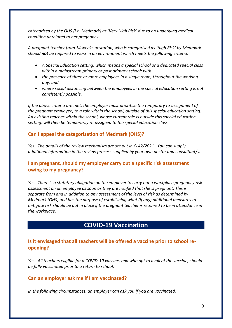*categorised by the OHS (i.e. Medmark) as 'Very High Risk' due to an underlying medical condition unrelated to her pregnancy.* 

*A pregnant teacher from 14 weeks gestation, who is categorised as 'High Risk' by Medmark should not be required to work in an environment which meets the following criteria:* 

- *A Special Education setting, which means a special school or a dedicated special class within a mainstream primary or post primary school; with*
- *the presence of three or more employees in a single room, throughout the working day; and*
- *where social distancing between the employees in the special education setting is not consistently possible.*

*If the above criteria are met, the employer must prioritise the temporary re-assignment of the pregnant employee, to a role within the school, outside of this special education setting. An existing teacher within the school, whose current role is outside this special education setting, will then be temporarily re-assigned to the special education class.*

# **Can I appeal the categorisation of Medmark (OHS)?**

*Yes. The details of the review mechanism are set out in CL42/2021. You can supply additional information in the review process supplied by your own doctor and consultant/s.*

# **I am pregnant, should my employer carry out a specific risk assessment owing to my pregnancy?**

*Yes. There is a statutory obligation on the employer to carry out a workplace pregnancy risk assessment on an employee as soon as they are notified that she is pregnant. This is separate from and in addition to any assessment of the level of risk as determined by Medmark (OHS) and has the purpose of establishing what (if any) additional measures to mitigate risk should be put in place if the pregnant teacher is required to be in attendance in the workplace.* 

# **COVID-19 Vaccination**

# **Is it envisaged that all teachers will be offered a vaccine prior to school reopening?**

*Yes. All teachers eligible for a COVID-19 vaccine, and who opt to avail of the vaccine, should be fully vaccinated prior to a return to school.*

## **Can an employer ask me if I am vaccinated?**

*In the following circumstances, an employer can ask you if you are vaccinated.*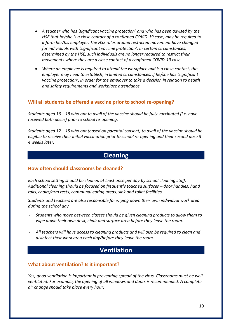- *A teacher who has 'significant vaccine protection' and who has been advised by the HSE that he/she is a close contact of a confirmed COVID-19 case, may be required to inform her/his employer. The HSE rules around restricted movement have changed for individuals with 'significant vaccine protection'. In certain circumstances, determined by the HSE, such individuals are no longer required to restrict their movements where they are a close contact of a confirmed COVID-19 case.*
- *Where an employee is required to attend the workplace and is a close contact, the employer may need to establish, in limited circumstances, if he/she has 'significant vaccine protection', in order for the employer to take a decision in relation to health and safety requirements and workplace attendance.*

#### **Will all students be offered a vaccine prior to school re-opening?**

*Students aged 16 – 18 who opt to avail of the vaccine should be fully vaccinated (i.e. have received both doses) prior to school re-opening.*

*Students aged 12 – 15 who opt (based on parental consent) to avail of the vaccine should be eligible to receive their initial vaccination prior to school re-opening and their second dose 3- 4 weeks later.*

# **Cleaning**

#### **How often should classrooms be cleaned?**

*Each school setting should be cleaned at least once per day by school cleaning staff. Additional cleaning should be focused on frequently touched surfaces – door handles, hand rails, chairs/arm rests, communal eating areas, sink and toilet facilities.*

*Students and teachers are also responsible for wiping down their own individual work area during the school day.* 

- *Students who move between classes should be given cleaning products to allow them to wipe down their own desk, chair and surface area before they leave the room.*
- *All teachers will have access to cleaning products and will also be required to clean and disinfect their work area each day/before they leave the room.*

# **Ventilation**

#### **What about ventilation? Is it important?**

*Yes, good ventilation is important in preventing spread of the virus. Classrooms must be well ventilated. For example, the opening of all windows and doors is recommended. A complete air change should take place every hour.*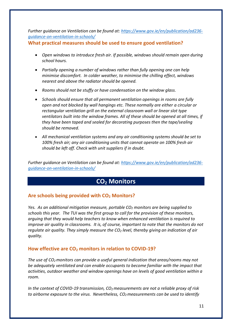*Further guidance on Ventilation can be found at: [https://www.gov.ie/en/publication/ad236](https://www.gov.ie/en/publication/ad236-guidance-on-ventilation-in-schools/) [guidance-on-ventilation-in-schools/](https://www.gov.ie/en/publication/ad236-guidance-on-ventilation-in-schools/)*

**What practical measures should be used to ensure good ventilation?**

- *Open windows to introduce fresh air. If possible, windows should remain open during school hours.*
- *Partially opening a number of windows rather than fully opening one can help minimise discomfort. In colder weather, to minimise the chilling effect, windows nearest and above the radiator should be opened.*
- *Rooms should not be stuffy or have condensation on the window glass.*
- *Schools should ensure that all permanent ventilation openings in rooms are fully open and not blocked by wall hangings etc. These normally are either a circular or rectangular ventilation grill on the external classroom wall or linear slot type ventilators built into the window frames. All of these should be opened at all times, if they have been taped and sealed for decorating purposes then the tape/sealing should be removed.*
- *All mechanical ventilation systems and any air conditioning systems should be set to 100% fresh air; any air conditioning units that cannot operate on 100% fresh air should be left off. Check with unit suppliers if in doubt.*

*Further guidance on Ventilation can be found at: [https://www.gov.ie/en/publication/ad236](https://www.gov.ie/en/publication/ad236-guidance-on-ventilation-in-schools/) [guidance-on-ventilation-in-schools/](https://www.gov.ie/en/publication/ad236-guidance-on-ventilation-in-schools/)*

# **CO<sup>2</sup> Monitors**

# **Are schools being provided with CO<sup>2</sup> Monitors?**

*Yes. As an additional mitigation measure, portable CO<sup>2</sup> monitors are being supplied to schools this year. The TUI was the first group to call for the provision of these monitors, arguing that they would help teachers to know when enhanced ventilation is required to improve air quality in classrooms. It is, of course, important to note that the monitors do not regulate air quality. They simply measure the CO<sup>2</sup> level, thereby giving an indication of air quality.*

# **How effective are CO<sup>2</sup> monitors in relation to COVID-19?**

*The use of CO2monitors can provide a useful general indication that areas/rooms may not be adequately ventilated and can enable occupants to become familiar with the impact that activities, outdoor weather and window openings have on levels of good ventilation within a room.*

*In the context of COVID-19 transmission, CO2measurements are not a reliable proxy of risk to airborne exposure to the virus. Nevertheless, CO2measurements can be used to identify*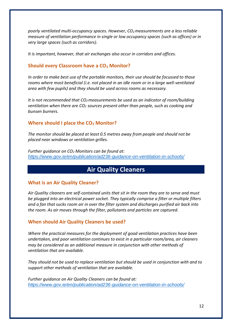*poorly ventilated multi-occupancy spaces. However, CO2measurements are a less reliable measure of ventilation performance in single or low occupancy spaces (such as offices) or in very large spaces (such as corridors).*

*It is important, however, that air exchanges also occur in corridors and offices.*

#### **Should every Classroom have a CO<sup>2</sup> Monitor?**

*In order to make best use of the portable monitors, their use should be focussed to those rooms where most beneficial (i.e. not placed in an idle room or in a large well-ventilated area with few pupils) and they should be used across rooms as necessary.* 

*It is not recommended that CO2measurements be used as an indicator of room/building ventilation when there are CO<sup>2</sup> sources present other than people, such as cooking and bunsen burners.*

#### **Where should I place the CO<sup>2</sup> Monitor?**

*The monitor should be placed at least 0.5 metres away from people and should not be placed near windows or ventilation grilles.* 

*Further guidance on CO<sup>2</sup> Monitors can be found at: <https://www.gov.ie/en/publication/ad236-guidance-on-ventilation-in-schools/>*

# **Air Quality Cleaners**

#### **What is an Air Quality Cleaner?**

*Air Quality cleaners are self-contained units that sit in the room they are to serve and must be plugged into an electrical power socket. They typically comprise a filter or multiple filters and a fan that sucks room air in over the filter system and discharges purified air back into the room. As air moves through the filter, pollutants and particles are captured.*

#### **When should Air Quality Cleaners be used?**

*Where the practical measures for the deployment of good ventilation practices have been undertaken, and poor ventilation continues to exist in a particular room/area, air cleaners may be considered as an additional measure in conjunction with other methods of ventilation that are available.*

*They should not be used to replace ventilation but should be used in conjunction with and to support other methods of ventilation that are available.*

*Further guidance on Air Quality Cleaners can be found at: <https://www.gov.ie/en/publication/ad236-guidance-on-ventilation-in-schools/>*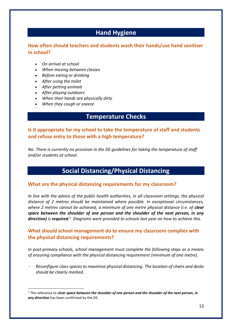# **Hand Hygiene**

# **How often should teachers and students wash their hands/use hand sanitiser in school?**

- *On arrival at school*
- *When moving between classes*
- *Before eating or drinking*
- *After using the toilet*
- *After petting animals*
- *After playing outdoors*
- *When their hands are physically dirty*
- *When they cough or sneeze*

# **Temperature Checks**

**Is it appropriate for my school to take the temperature of staff and students and refuse entry to those with a high temperature?**

*No. There is currently no provision in the DE guidelines for taking the temperature of staff and/or students at school.* 

# **Social Distancing/Physical Distancing**

#### **What are the physical distancing requirements for my classroom?**

*In line with the advice of the public health authorities, in all classroom settings, the physical distance of 2 metres should be maintained where possible. In exceptional circumstances,*  where 2 metres cannot be achieved, a minimum of one metre physical distance (i.e. of **clear** *space between the shoulder of one person and the shoulder of the next person, in any direction) is required. 1 Diagrams were provided to schools last year on how to achieve this.*

# **What should school management do to ensure my classroom complies with the physical distancing requirements?**

*In post-primary schools, school management must complete the following steps as a means of ensuring compliance with the physical distancing requirement (minimum of one metre).* 

- *Reconfigure class spaces to maximise physical distancing. The location of chairs and desks should be clearly marked.*

<sup>1</sup> The reference to *clear space between the shoulder of one person and the shoulder of the next person, in any direction* has been confirmed by the DE.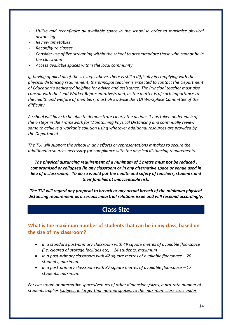- *Utilise and reconfigure all available space in the school in order to maximise physical distancing*
- *Review timetables*
- *Reconfigure classes*
- *Consider use of live streaming within the school to accommodate those who cannot be in the classroom*
- *Access available spaces within the local community*

*If, having applied all of the six steps above, there is still a difficulty in complying with the physical distancing requirement, the principal teacher is expected to contact the Department of Education's dedicated helpline for advice and assistance. The Principal teacher must also consult with the Lead Worker Representative/s and, as the matter is of such importance to the health and welfare of members, must also advise the TUI Workplace Committee of the difficulty.* 

*A school will have to be able to demonstrate clearly the actions it has taken under each of the 6 steps in the Framework for Maintaining Physical Distancing and continually review same to achieve a workable solution using whatever additional resources are provided by the Department.*

*The TUI will support the school in any efforts or representations it makes to secure the additional resources necessary for compliance with the physical distancing requirements.* 

*The physical distancing requirement of a minimum of 1 metre must not be reduced , compromised or collapsed (in any classroom or in any alternative space or venue used in lieu of a classroom). To do so would put the health and safety of teachers, students and their families at unacceptable risk.*

*The TUI will regard any proposal to breach or any actual breach of the minimum physical distancing requirement as a serious industrial relations issue and will respond accordingly.*

# **Class Size**

# **What is the maximum number of students that can be in my class, based on the size of my classroom?**

- *In a standard post-primary classroom with 49 square metres of available floorspace (i.e. cleared of storage facilities etc) – 24 students, maximum*
- In a post-primary classroom with 42 square metres of available floorspace 20 *students, maximum*
- In a post-primary classroom with 37 square metres of available floorspace  $-17$ *students, maximum*

*For classroom or alternative spaces/venues of other dimensions/sizes, a pro-rata number of students applies (subject, in larger than normal spaces, to the maximum class sizes under*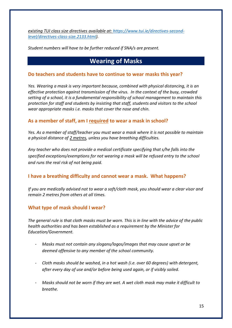*existing TUI class size directives available at: [https://www.tui.ie/directives-second](https://www.tui.ie/directives-second-level/directives-class-size.2133.html)[level/directives-class-size.2133.html\)](https://www.tui.ie/directives-second-level/directives-class-size.2133.html).*

*Student numbers will have to be further reduced if SNA/s are present.*

# **Wearing of Masks**

#### **Do teachers and students have to continue to wear masks this year?**

*Yes. Wearing a mask is very important because, combined with physical distancing, it is an effective protection against transmission of the virus. In the context of the busy, crowded setting of a school, it is a fundamental responsibility of school management to maintain this protection for staff and students by insisting that staff, students and visitors to the school wear appropriate masks i.e. masks that cover the nose and chin.*

#### **As a member of staff, am I required to wear a mask in school?**

*Yes. As a member of staff/teacher you must wear a mask where it is not possible to maintain a physical distance of 2 metres, unless you have breathing difficulties.*

*Any teacher who does not provide a medical certificate specifying that s/he falls into the specified exceptions/exemptions for not wearing a mask will be refused entry to the school and runs the real risk of not being paid.* 

## **I have a breathing difficulty and cannot wear a mask. What happens?**

*If you are medically advised not to wear a soft/cloth mask, you should wear a clear visor and remain 2 metres from others at all times.*

## **What type of mask should I wear?**

*The general rule is that cloth masks must be worn. This is in line with the advice of the public health authorities and has been established as a requirement by the Minister for Education/Government.* 

- *Masks must not contain any slogans/logos/images that may cause upset or be deemed offensive to any member of the school community.*
- *Cloth masks should be washed, in a hot wash (i.e. over 60 degrees) with detergent, after every day of use and/or before being used again, or if visibly soiled.*
- *Masks should not be worn if they are wet. A wet cloth mask may make it difficult to breathe.*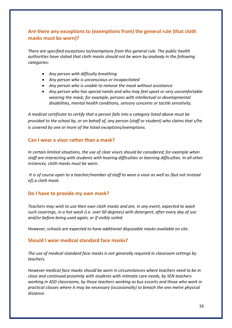# **Are there any exceptions to (exemptions from) the general rule (that cloth masks must be worn)?**

*There are specified exceptions to/exemptions from this general rule. The public health authorities have stated that cloth masks should not be worn by anybody in the following categories:*

- *Any person with difficulty breathing*
- *Any person who is unconscious or incapacitated*
- *Any person who is unable to remove the mask without assistance*
- *Any person who has special needs and who may feel upset or very uncomfortable wearing the mask; for example, persons with intellectual or developmental disabilities, mental health conditions, sensory concerns or tactile sensitivity.*

*A medical certificate to certify that a person falls into a category listed above must be provided to the school by, or on behalf of, any person (staff or student) who claims that s/he is covered by one or more of the listed exceptions/exemptions.* 

## **Can I wear a visor rather than a mask?**

*In certain limited situations, the use of clear visors should be considered; for example when staff are interacting with students with hearing difficulties or learning difficulties. In all other instances, cloth masks must be worn.*

*It is of course open to a teacher/member of staff to wear a visor as well as (but not instead of) a cloth mask.*

## **Do I have to provide my own mask?**

*Teachers may wish to use their own cloth masks and are, in any event, expected to wash such coverings, in a hot wash (i.e. over 60 degrees) with detergent, after every day of use and/or before being used again, or if visibly soiled.* 

*However, schools are expected to have additional disposable masks available on site.*

#### **Should I wear medical standard face masks?**

*The use of medical standard face masks is not generally required in classroom settings by teachers.* 

*However medical face masks should be worn in circumstances where teachers need to be in close and continued proximity with students with intimate care needs, by SEN teachers working in ASD classrooms, by those teachers working as bus escorts and those who work in practical classes where it may be necessary (occasionally) to breach the one metre physical distance.*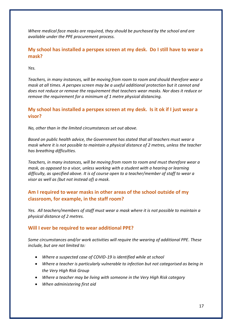*Where medical face masks are required, they should be purchased by the school and are available under the PPE procurement process.* 

# **My school has installed a perspex screen at my desk. Do I still have to wear a mask?**

*Yes.* 

*Teachers, in many instances, will be moving from room to room and should therefore wear a mask at all times. A perspex screen may be a useful additional protection but it cannot and does not reduce or remove the requirement that teachers wear masks. Nor does it reduce or remove the requirement for a minimum of 1 metre physical distancing.*

# **My school has installed a perspex screen at my desk. Is it ok if I just wear a visor?**

*No, other than in the limited circumstances set out above.* 

*Based on public health advice, the Government has stated that all teachers must wear a mask where it is not possible to maintain a physical distance of 2 metres, unless the teacher has breathing difficulties.* 

*Teachers, in many instances, will be moving from room to room and must therefore wear a mask, as opposed to a visor, unless working with a student with a hearing or learning difficulty, as specified above. It is of course open to a teacher/member of staff to wear a visor as well as (but not instead of) a mask.*

# **Am I required to wear masks in other areas of the school outside of my classroom, for example, in the staff room?**

*Yes. All teachers/members of staff must wear a mask where it is not possible to maintain a physical distance of 2 metres.*

# **Will I ever be required to wear additional PPE?**

*Some circumstances and/or work activities will require the wearing of additional PPE. These include, but are not limited to:*

- *Where a suspected case of COVID-19 is identified while at school*
- *Where a teacher is particularly vulnerable to infection but not categorised as being in the Very High Risk Group*
- *Where a teacher may be living with someone in the Very High Risk category*
- *When administering first aid*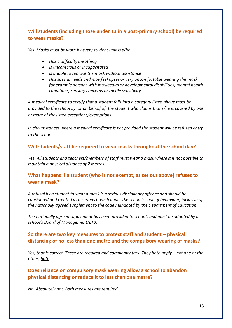# **Will students (including those under 13 in a post-primary school) be required to wear masks?**

*Yes. Masks must be worn by every student unless s/he:*

- *Has a difficulty breathing*
- *Is unconscious or incapacitated*
- *Is unable to remove the mask without assistance*
- *Has special needs and may feel upset or very uncomfortable wearing the mask; for example persons with intellectual or developmental disabilities, mental health conditions, sensory concerns or tactile sensitivity.*

*A medical certificate to certify that a student falls into a category listed above must be provided to the school by, or on behalf of, the student who claims that s/he is covered by one or more of the listed exceptions/exemptions.* 

*In circumstances where a medical certificate is not provided the student will be refused entry to the school.* 

## **Will students/staff be required to wear masks throughout the school day?**

*Yes. All students and teachers/members of staff must wear a mask where it is not possible to maintain a physical distance of 2 metres.*

# **What happens if a student (who is not exempt, as set out above) refuses to wear a mask?**

*A refusal by a student to wear a mask is a serious disciplinary offence and should be considered and treated as a serious breach under the school's code of behaviour, inclusive of the nationally agreed supplement to the code mandated by the Department of Education.* 

*The nationally agreed supplement has been provided to schools and must be adopted by a school's Board of Management/ETB.*

# **So there are two key measures to protect staff and student – physical distancing of no less than one metre and the compulsory wearing of masks?**

*Yes, that is correct. These are required and complementary. They both apply – not one or the other; both.*

# **Does reliance on compulsory mask wearing allow a school to abandon physical distancing or reduce it to less than one metre?**

*No. Absolutely not. Both measures are required.*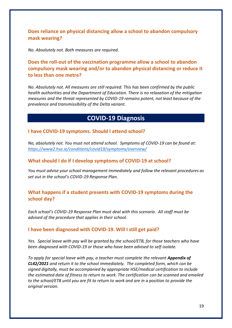**Does reliance on physical distancing allow a school to abandon compulsory mask wearing?**

*No. Absolutely not. Both measures are required.*

**Does the roll-out of the vaccination programme allow a school to abandon compulsory mask wearing and/or to abandon physical distancing or reduce it to less than one metre?**

*No. Absolutely not. All measures are still required. This has been confirmed by the public health authorities and the Department of Education. There is no relaxation of the mitigation measures and the threat represented by COVID-19 remains potent, not least because of the prevalence and transmissibility of the Delta variant.* 

# **COVID-19 Diagnosis**

#### **I have COVID-19 symptoms. Should I attend school?**

*No, absolutely not. You must not attend school. Symptoms of COVID-19 can be found at: <https://www2.hse.ie/conditions/covid19/symptoms/overview/>*

#### **What should I do if I develop symptoms of COVID-19 at school?**

*You must advise your school management immediately and follow the relevant procedures as set out in the school's COVID-19 Response Plan.*

# **What happens if a student presents with COVID-19 symptoms during the school day?**

*Each school's COVID-19 Response Plan must deal with this scenario. All staff must be advised of the procedure that applies in their school.*

#### **I have been diagnosed with COVID-19. Will I still get paid?**

*Yes. Special leave with pay will be granted by the school/ETB, for those teachers who have been diagnosed with COVID-19 or those who have been advised to self-isolate.*

To apply for special leave with pay, a teacher must complete the relevant **Appendix of** *CL42/2021 and return it to the school immediately. The completed form, which can be signed digitally, must be accompanied by appropriate HSE/medical certification to include the estimated date of fitness to return to work. The certification can be scanned and emailed to the school/ETB until you are fit to return to work and are in a position to provide the original version.*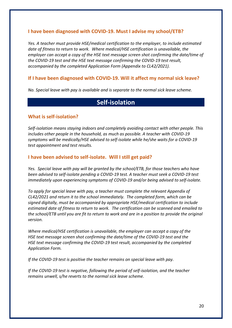# **I have been diagnosed with COVID-19. Must I advise my school/ETB?**

*Yes. A teacher must provide HSE/medical certification to the employer, to include estimated date of fitness to return to work. Where medical/HSE certification is unavailable, the employer can accept a copy of the HSE text message screen shot confirming the date/time of the COVID-19 test and the HSE text message confirming the COVID-19 test result, accompanied by the completed Application Form (Appendix to CL42/2021).*

#### **If I have been diagnosed with COVID-19. Will it affect my normal sick leave?**

*No. Special leave with pay is available and is separate to the normal sick leave scheme.*

# **Self-isolation**

#### **What is self-isolation?**

*Self-isolation means staying indoors and completely avoiding contact with other people. This includes other people in the household, as much as possible. A teacher with COVID-19 symptoms will be medically/HSE advised to self-isolate while he/she waits for a COVID-19 test appointment and test results.* 

#### **I have been advised to self-isolate. Will I still get paid?**

*Yes. Special leave with pay will be granted by the school/ETB, for those teachers who have been advised to self-isolate pending a COVID-19 test. A teacher must seek a COVID-19 test immediately upon experiencing symptoms of COVID-19 and/or being advised to self-isolate.*

*To apply for special leave with pay, a teacher must complete the relevant Appendix of CL42/2021 and return it to the school immediately. The completed form, which can be signed digitally, must be accompanied by appropriate HSE/medical certification to include estimated date of fitness to return to work. The certification can be scanned and emailed to the school/ETB until you are fit to return to work and are in a position to provide the original version.*

*Where medical/HSE certification is unavailable, the employer can accept a copy of the HSE text message screen shot confirming the date/time of the COVID-19 test and the HSE text message confirming the COVID-19 test result, accompanied by the completed Application Form.*

*If the COVID-19 test is positive the teacher remains on special leave with pay.*

*If the COVID-19 test is negative, following the period of self-isolation, and the teacher remains unwell, s/he reverts to the normal sick leave scheme.*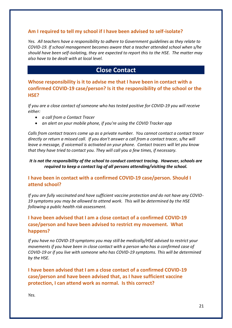# **Am I required to tell my school if I have been advised to self-isolate?**

*Yes. All teachers have a responsibility to adhere to Government guidelines as they relate to COVID-19. If school management becomes aware that a teacher attended school when s/he should have been self-isolating, they are expected to report this to the HSE. The matter may also have to be dealt with at local level.*

# **Close Contact**

**Whose responsibility is it to advise me that I have been in contact with a confirmed COVID-19 case/person? Is it the responsibility of the school or the HSE?**

*If you are a close contact of someone who has tested positive for COVID-19 you will receive either:*

- *a call from a Contact Tracer*
- *an alert on your mobile phone, if you're using the COVID Tracker app*

*Calls from contact tracers come up as a private number. You cannot contact a contact tracer directly or return a missed call. If you don't answer a call from a contact tracer, s/he will leave a message, if voicemail is activated on your phone. Contact tracers will let you know that they have tried to contact you. They will call you a few times, if necessary.*

*It is not the responsibility of the school to conduct contract tracing. However, schools are required to keep a contact log of all persons attending/visiting the school.*

#### **I have been in contact with a confirmed COVID-19 case/person. Should I attend school?**

*If you are fully vaccinated and have sufficient vaccine protection and do not have any COVID-19 symptoms you may be allowed to attend work. This will be determined by the HSE following a public health risk assessment.*

# **I have been advised that I am a close contact of a confirmed COVID-19 case/person and have been advised to restrict my movement. What happens?**

*If you have no COVID-19 symptoms you may still be medically/HSE advised to restrict your movements if you have been in close contact with a person who has a confirmed case of COVID-19 or if you live with someone who has COVID-19 symptoms. This will be determined by the HSE.*

**I have been advised that I am a close contact of a confirmed COVID-19 case/person and have been advised that, as I have sufficient vaccine protection, I can attend work as normal. Is this correct?** 

*Yes.*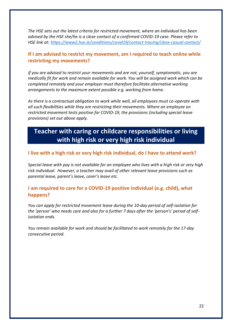*The HSE sets out the latest criteria for restricted movement, where an individual has been advised by the HSE she/he is a close contact of a confirmed COVID-19 case. Please refer to HSE link at: <https://www2.hse.ie/conditions/covid19/contact-tracing/close-casual-contact/>*

# **If I am advised to restrict my movement, am I required to teach online while restricting my movements?**

*If you are advised to restrict your movements and are not, yourself, symptomatic, you are medically fit for work and remain available for work. You will be assigned work which can be completed remotely and your employer must therefore facilitate alternative working arrangements to the maximum extent possible e.g. working from home.* 

*As there is a contractual obligation to work while well, all employees must co-operate with all such flexibilities while they are restricting their movements. Where an employee on restricted movement tests positive for COVID-19, the provisions (including special leave provisions) set out above apply.* 

# **Teacher with caring or childcare responsibilities or living with high risk or very high risk individual**

#### **I live with a high risk or very high risk individual, do I have to attend work?**

*Special leave with pay is not available for an employee who lives with a high risk or very high risk individual. However, a teacher may avail of other relevant leave provisions such as parental leave, parent's leave, carer's leave etc.*

# **I am required to care for a COVID-19 positive individual (e.g. child), what happens?**

*You can apply for restricted movement leave during the 10-day period of self-isolation for the 'person' who needs care and also for a further 7 days after the 'person's' period of selfisolation ends.* 

*You remain available for work and should be facilitated to work remotely for the 17-day consecutive period.*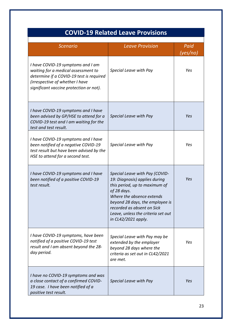# **COVID-19 Related Leave Provisions**

| <b>Scenario</b>                                                                                                                                                                                    | <b>Leave Provision</b>                                                                                                                                                                                                                                                     | Paid     |
|----------------------------------------------------------------------------------------------------------------------------------------------------------------------------------------------------|----------------------------------------------------------------------------------------------------------------------------------------------------------------------------------------------------------------------------------------------------------------------------|----------|
|                                                                                                                                                                                                    |                                                                                                                                                                                                                                                                            | (yes/no) |
| I have COVID-19 symptoms and I am<br>waiting for a medical assessment to<br>determine if a COVID-19 test is required<br>(irrespective of whether I have<br>significant vaccine protection or not). | Special Leave with Pay                                                                                                                                                                                                                                                     | Yes      |
| I have COVID-19 symptoms and I have<br>been advised by GP/HSE to attend for a<br>COVID-19 test and I am waiting for the<br>test and test result.                                                   | Special Leave with Pay                                                                                                                                                                                                                                                     | Yes      |
| I have COVID-19 symptoms and I have<br>been notified of a negative COVID-19<br>test result but have been advised by the<br>HSE to attend for a second test.                                        | Special Leave with Pay                                                                                                                                                                                                                                                     | Yes      |
| I have COVID-19 symptoms and I have<br>been notified of a positive COVID-19<br>test result.                                                                                                        | Special Leave with Pay (COVID-<br>19: Diagnosis) applies during<br>this period, up to maximum of<br>of 28 days.<br>Where the absence extends<br>beyond 28 days, the employee is<br>recorded as absent on Sick<br>Leave, unless the criteria set out<br>in CL42/2021 apply. | Yes      |
| I have COVID-19 symptoms, have been<br>notified of a positive COVID-19 test<br>result and I am absent beyond the 28-<br>day period.                                                                | Special Leave with Pay may be<br>extended by the employer<br>beyond 28 days where the<br>criteria as set out in CL42/2021<br>are met.                                                                                                                                      | Yes      |
| I have no COVID-19 symptoms and was<br>a close contact of a confirmed COVID-<br>19 case. I have been notified of a<br>positive test result.                                                        | Special Leave with Pay                                                                                                                                                                                                                                                     | Yes      |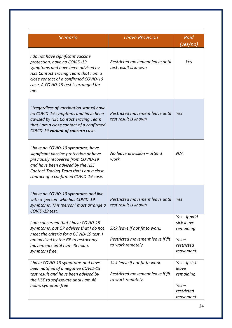| <b>Scenario</b>                                                                                                                                                                                                                          | <b>Leave Provision</b>                                                                  | Paid                                                                          |  |  |
|------------------------------------------------------------------------------------------------------------------------------------------------------------------------------------------------------------------------------------------|-----------------------------------------------------------------------------------------|-------------------------------------------------------------------------------|--|--|
|                                                                                                                                                                                                                                          |                                                                                         | (yes/no)                                                                      |  |  |
| I do not have significant vaccine<br>protection, have no COVID-19<br>symptoms and have been advised by<br>HSE Contact Tracing Team that I am a<br>close contact of a confirmed COVID-19<br>case. A COVID-19 test is arranged for<br>me.  | Restricted movement leave until<br>test result is known                                 | Yes                                                                           |  |  |
| I (regardless of vaccination status) have<br>no COVID-19 symptoms and have been<br>advised by HSE Contact Tracing Team<br>that I am a close contact of a confirmed<br>COVID-19 variant of concern case.                                  | Restricted movement leave until<br>test result is known                                 | Yes                                                                           |  |  |
| I have no COVID-19 symptoms, have<br>significant vaccine protection or have<br>previously recovered from COVID-19<br>and have been advised by the HSE<br>Contact Tracing Team that I am a close<br>contact of a confirmed COVID-19 case. | No leave provision - attend<br>work                                                     | N/A                                                                           |  |  |
| I have no COVID-19 symptoms and live<br>with a 'person' who has COVID-19<br>symptoms. This 'person' must arrange a<br>COVID-19 test.                                                                                                     | Restricted movement leave until<br>test result is known                                 | Yes                                                                           |  |  |
| I am concerned that I have COVID-19<br>symptoms, but GP advises that I do not<br>meet the criteria for a COVID-19 test. I<br>am advised by the GP to restrict my<br>movements until I am 48 hours<br>symptom free.                       | Sick leave if not fit to work.<br>Restricted movement leave if fit<br>to work remotely. | Yes - if paid<br>sick leave<br>remaining<br>$Yes -$<br>restricted<br>movement |  |  |
| I have COVID-19 symptoms and have<br>been notified of a negative COVID-19<br>test result and have been advised by<br>the HSE to self-isolate until I am 48<br>hours symptom free                                                         | Sick leave if not fit to work.<br>Restricted movement leave if fit<br>to work remotely. | Yes - if sick<br>leave<br>remaining<br>$Yes -$<br>restricted<br>movement      |  |  |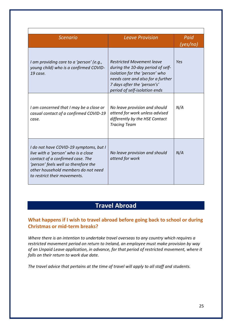| <b>Scenario</b>                                                                                                                                                                                                                  | <b>Leave Provision</b>                                                                                                                                                                                       | Paid<br>(yes/no) |  |
|----------------------------------------------------------------------------------------------------------------------------------------------------------------------------------------------------------------------------------|--------------------------------------------------------------------------------------------------------------------------------------------------------------------------------------------------------------|------------------|--|
| I am providing care to a 'person' (e.g.,<br>young child) who is a confirmed COVID-<br>19 case.                                                                                                                                   | <b>Restricted Movement leave</b><br>during the 10-day period of self-<br>isolation for the 'person' who<br>needs care and also for a further<br>7 days after the 'person's'<br>period of self-isolation ends | Yes              |  |
| I am concerned that I may be a close or<br>casual contact of a confirmed COVID-19<br>case.                                                                                                                                       | No leave provision and should<br>attend for work unless advised<br>differently by the HSE Contact<br><b>Tracing Team</b>                                                                                     | N/A              |  |
| I do not have COVID-19 symptoms, but I<br>live with a 'person' who is a close<br>contact of a confirmed case. The<br>'person' feels well so therefore the<br>other household members do not need<br>to restrict their movements. | No leave provision and should<br>attend for work                                                                                                                                                             | N/A              |  |

# **Travel Abroad**

# **What happens if I wish to travel abroad before going back to school or during Christmas or mid-term breaks?**

*Where there is an intention to undertake travel overseas to any country which requires a restricted movement period on return to Ireland, an employee must make provision by way of an Unpaid Leave application, in advance, for that period of restricted movement, where it falls on their return to work due date.* 

*The travel advice that pertains at the time of travel will apply to all staff and students.*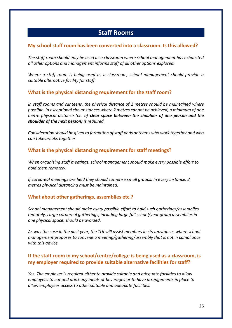# **Staff Rooms**

#### **My school staff room has been converted into a classroom. Is this allowed?**

*The staff room should only be used as a classroom where school management has exhausted all other options and management informs staff of all other options explored.*

*Where a staff room is being used as a classroom, school management should provide a suitable alternative facility for staff.* 

## **What is the physical distancing requirement for the staff room?**

*In staff rooms and canteens, the physical distance of 2 metres should be maintained where possible. In exceptional circumstances where 2 metres cannot be achieved, a minimum of one metre physical distance (i.e. of clear space between the shoulder of one person and the shoulder of the next person) is required.* 

*Consideration should be given to formation of staff pods or teams who work together and who can take breaks together*.

## **What is the physical distancing requirement for staff meetings?**

*When organising staff meetings, school management should make every possible effort to hold them remotely.*

*If corporeal meetings are held they should comprise small groups. In every instance, 2 metres physical distancing must be maintained.* 

#### **What about other gatherings, assemblies etc.?**

*School management should make every possible effort to hold such gatherings/assemblies remotely. Large corporeal gatherings, including large full school/year group assemblies in one physical space, should be avoided.*

*As was the case in the past year, the TUI will assist members in circumstances where school management proposes to convene a meeting/gathering/assembly that is not in compliance with this advice.* 

# **If the staff room in my school/centre/college is being used as a classroom, is my employer required to provide suitable alternative facilities for staff?**

*Yes. The employer is required either to provide suitable and adequate facilities to allow employees to eat and drink any meals or beverages or to have arrangements in place to allow employees access to other suitable and adequate facilities.*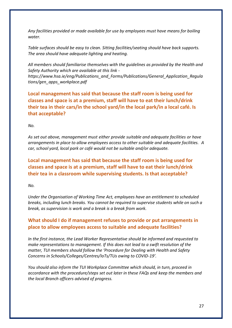*Any facilities provided or made available for use by employees must have means for boiling water.*

*Table surfaces should be easy to clean. Sitting facilities/seating should have back supports. The area should have adequate lighting and heating.*

*All members should familiarise themselves with the guidelines as provided by the Health and Safety Authority which are available at this link -*

*[https://www.hsa.ie/eng/Publications\\_and\\_Forms/Publications/General\\_Application\\_Regula](https://www.hsa.ie/eng/Publications_and_Forms/Publications/General_Application_Regulations/gen_apps_workplace.pdf) [tions/gen\\_apps\\_workplace.pdf](https://www.hsa.ie/eng/Publications_and_Forms/Publications/General_Application_Regulations/gen_apps_workplace.pdf)*

**Local management has said that because the staff room is being used for classes and space is at a premium, staff will have to eat their lunch/drink their tea in their cars/in the school yard/in the local park/in a local café. Is that acceptable?**

*No.* 

*As set out above, management must either provide suitable and adequate facilities or have arrangements in place to allow employees access to other suitable and adequate facilities. A car, school yard, local park or café would not be suitable and/or adequate.*

**Local management has said that because the staff room is being used for classes and space is at a premium, staff will have to eat their lunch/drink their tea in a classroom while supervising students. Is that acceptable?**

*No.* 

*Under the Organisation of Working Time Act, employees have an entitlement to scheduled breaks, including lunch breaks. You cannot be required to supervise students while on such a break, as supervision is work and a break is a break from work.*

# **What should I do if management refuses to provide or put arrangements in place to allow employees access to suitable and adequate facilities?**

*In the first instance, the Lead Worker Representative should be informed and requested to make representations to management. If this does not lead to a swift resolution of the matter, TUI members should follow the 'Procedure for Dealing with Health and Safety Concerns in Schools/Colleges/Centres/IoTs/TUs owing to COVID-19'.*

*You should also inform the TUI Workplace Committee which should, in turn, proceed in accordance with the procedure/steps set out later in these FAQs and keep the members and the local Branch officers advised of progress.*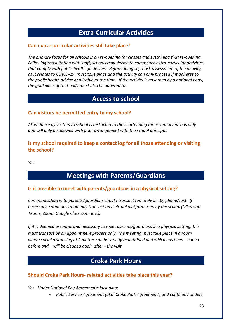# **Extra-Curricular Activities**

## **Can extra-curricular activities still take place?**

*The primary focus for all schools is on re-opening for classes and sustaining that re-opening. Following consultation with staff, schools may decide to commence extra-curricular activities that comply with public health guidelines. Before doing so, a risk assessment of the activity, as it relates to COVID-19, must take place and the activity can only proceed if it adheres to the public health advice applicable at the time. If the activity is governed by a national body, the guidelines of that body must also be adhered to.*

# **Access to school**

# **Can visitors be permitted entry to my school?**

*Attendance by visitors to school is restricted to those attending for essential reasons only and will only be allowed with prior arrangement with the school principal.*

# **Is my school required to keep a contact log for all those attending or visiting the school?**

*Yes.*

# **Meetings with Parents/Guardians**

## **Is it possible to meet with parents/guardians in a physical setting?**

*Communication with parents/guardians should transact remotely i.e. by phone/text. If necessary, communication may transact on a virtual platform used by the school (Microsoft Teams, Zoom, Google Classroom etc.).* 

*If it is deemed essential and necessary to meet parents/guardians in a physical setting, this must transact by an appointment process only. The meeting must take place in a room where social distancing of 2 metres can be strictly maintained and which has been cleaned before and – will be cleaned again after - the visit.*

# **Croke Park Hours**

## **Should Croke Park Hours- related activities take place this year?**

*Yes. Under National Pay Agreements including:*

• *Public Service Agreement (aka 'Croke Park Agreement') and continued under:*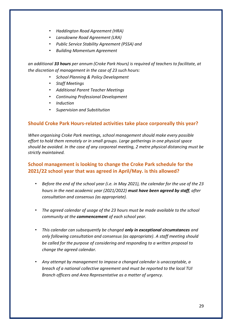- *Haddington Road Agreement (HRA)*
- *Lansdowne Road Agreement (LRA)*
- *Public Service Stability Agreement (PSSA) and*
- *Building Momentum Agreement*

*an additional 33 hours per annum (Croke Park Hours) is required of teachers to facilitate, at the discretion of management in the case of 23 such hours:* 

- *School Planning & Policy Development*
- *Staff Meetings*
- *Additional Parent Teacher Meetings*
- *Continuing Professional Development*
- *Induction*
- *Supervision and Substitution*

## **Should Croke Park Hours-related activities take place corporeally this year?**

*When organising Croke Park meetings, school management should make every possible effort to hold them remotely or in small groups. Large gatherings in one physical space should be avoided. In the case of any corporeal meeting, 2 metre physical distancing must be strictly maintained.*

# **School management is looking to change the Croke Park schedule for the 2021/22 school year that was agreed in April/May. is this allowed?**

- *Before the end of the school year (i.e. in May 2021), the calendar for the use of the 23 hours in the next academic year (2021/2022) must have been agreed by staff, after consultation and consensus (as appropriate).*
- *The agreed calendar of usage of the 23 hours must be made available to the school community at the commencement of each school year.*
- *This calendar can subsequently be changed only in exceptional circumstances and only following consultation and consensus (as appropriate). A staff meeting should be called for the purpose of considering and responding to a written proposal to change the agreed calendar.*
- *Any attempt by management to impose a changed calendar is unacceptable, a breach of a national collective agreement and must be reported to the local TUI Branch officers and Area Representative as a matter of urgency.*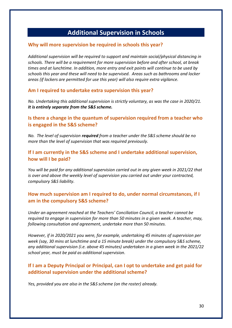# **Additional Supervision in Schools**

#### **Why will more supervision be required in schools this year?**

*Additional supervision will be required to support and maintain social/physical distancing in schools. There will be a requirement for more supervision before and after school, at break times and at lunchtime. In addition, more entry and exit points will continue to be used by schools this year and these will need to be supervised. Areas such as bathrooms and locker areas (if lockers are permitted for use this year) will also require extra vigilance.* 

#### **Am I required to undertake extra supervision this year?**

*No. Undertaking this additional supervision is strictly voluntary, as was the case in 2020/21. It is entirely separate from the S&S scheme.*

# **Is there a change in the quantum of supervision required from a teacher who is engaged in the S&S scheme?**

*No. The level of supervision required from a teacher under the S&S scheme should be no more than the level of supervision that was required previously.*

# **If I am currently in the S&S scheme and I undertake additional supervision, how will I be paid?**

*You will be paid for any additional supervision carried out in any given week in 2021/22 that is over and above the weekly level of supervision you carried out under your contracted, compulsory S&S liability.*

# **How much supervision am I required to do, under normal circumstances, if I am in the compulsory S&S scheme?**

*Under an agreement reached at the Teachers' Conciliation Council, a teacher cannot be required to engage in supervision for more than 50 minutes in a given week. A teacher, may, following consultation and agreement, undertake more than 50 minutes.*

*However, if in 2020/2021 you were, for example, undertaking 45 minutes of supervision per week (say, 30 mins at lunchtime and a 15 minute break) under the compulsory S&S scheme, any additional supervision (i.e. above 45 minutes) undertaken in a given week in the 2021/22 school year, must be paid as additional supervision.*

# **If I am a Deputy Principal or Principal, can I opt to undertake and get paid for additional supervision under the additional scheme?**

*Yes, provided you are also in the S&S scheme (on the roster) already.*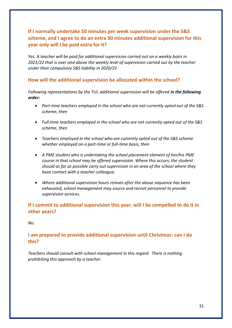# **If I normally undertake 50 minutes per week supervision under the S&S scheme, and I agree to do an extra 30 minutes additional supervision for this year only will I be paid extra for it?**

*Yes. A teacher will be paid for additional supervision carried out on a weekly basis in 2021/22 that is over and above the weekly level of supervision carried out by the teacher under their compulsory S&S liability in 2020/21.*

## **How will the additional supervision be allocated within the school?**

*Following representations by the TUI, additional supervision will be offered in the following order:*

- *Part-time teachers employed in the school who are not currently opted out of the S&S scheme, then*
- *Full-time teachers employed in the school who are not currently opted out of the S&S scheme, then*
- *Teachers employed in the school who are currently opted out of the S&S scheme whether employed on a part-time or full-time basis, then*
- *A PME student who is undertaking the school placement element of her/his PME course in that school may be offered supervision. Where this occurs, the student should as far as possible carry out supervision in an area of the school where they have contact with a teacher colleague.*
- *Where additional supervision hours remain after the above sequence has been exhausted, school management may source and recruit personnel to provide supervision services.*

# **If I commit to additional supervision this year, will I be compelled to do it in other years?**

## *No.*

# **I am prepared to provide additional supervision until Christmas: can I do this?**

*Teachers should consult with school management in this regard. There is nothing prohibiting this approach by a teacher.*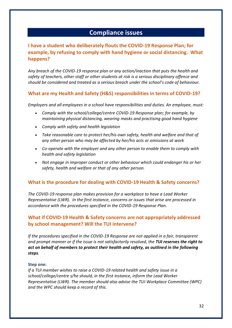# **Compliance issues**

# **I have a student who deliberately flouts the COVID-19 Response Plan; for example, by refusing to comply with hand hygiene or social distancing. What happens?**

*Any breach of the COVID-19 response plan or any action/inaction that puts the health and safety of teachers, other staff or other students at risk is a serious disciplinary offence and should be considered and treated as a serious breach under the school's code of behaviour.*

# **What are my Health and Safety (H&S) responsibilities in terms of COVID-19?**

*Employers and all employees in a school have responsibilities and duties. An employee, must:* 

- *Comply with the school/college/centre COVID-19 Response plan; for example, by maintaining physical distancing, wearing masks and practising good hand hygiene*
- *Comply with safety and health legislation*
- *Take reasonable care to protect her/his own safety, health and welfare and that of any other person who may be affected by her/his acts or omissions at work*
- *Co-operate with the employer and any other person to enable them to comply with health and safety legislation*
- *Not engage in improper conduct or other behaviour which could endanger his or her safety, health and welfare or that of any other person.*

## **What is the procedure for dealing with COVID-19 Health & Safety concerns?**

*The COVID-19 response plan makes provision for a workplace to have a Lead Worker Representative (LWR). In the first instance, concerns or issues that arise are processed in accordance with the procedures specified in the COVID-19 Response Plan.* 

# **What if COVID-19 Health & Safety concerns are not appropriately addressed by school management? Will the TUI intervene?**

*If the procedures specified in the COVID-19 Response are not applied in a fair, transparent and prompt manner or if the issue is not satisfactorily resolved, the TUI reserves the right to act on behalf of members to protect their health and safety, as outlined in the following steps.*

#### **Step one:**

*If a TUI member wishes to raise a COVID-19 related health and safety issue in a school/college/centre s/he should, in the first instance, inform the Lead Worker Representative (LWR). The member should also advise the TUI Workplace Committee (WPC) and the WPC should keep a record of this.*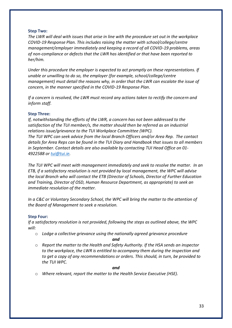#### **Step Two:**

*The LWR will deal with issues that arise in line with the procedure set out in the workplace COVID-19 Response Plan. This includes raising the matter with school/college/centre management/employer immediately and keeping a record of all COVID-19 problems, areas of non-compliance or defects that the LWR has identified or that have been reported to her/him.* 

*Under this procedure the employer is expected to act promptly on these representations. If unable or unwilling to do so, the employer (for example, school/college/centre management) must detail the reasons why, in order that the LWR can escalate the issue of concern, in the manner specified in the COVID-19 Response Plan*.

*If a concern is resolved, the LWR must record any actions taken to rectify the concern and inform staff.* 

#### **Step Three:**

*If, notwithstanding the efforts of the LWR, a concern has not been addressed to the satisfaction of the TUI member/s, the matter should then be referred as an industrial relations issue/grievance to the TUI Workplace Committee (WPC). The TUI WPC can seek advice from the local Branch Officers and/or Area Rep. The contact details for Area Reps can be found in the TUI Diary and Handbook that issues to all members in September. Contact details are also available by contacting TUI Head Office on 01- 4922588 or [tui@tui.ie.](mailto:tui@tui.ie)*

*The TUI WPC will meet with management immediately and seek to resolve the matter. In an ETB, if a satisfactory resolution is not provided by local management, the WPC will advise the local Branch who will contact the ETB (Director of Schools, Director of Further Education and Training, Director of OSD, Human Resource Department, as appropriate) to seek an immediate resolution of the matter.* 

*In a C&C or Voluntary Secondary School, the WPC will bring the matter to the attention of the Board of Management to seek a resolution.*

#### **Step Four:**

*If a satisfactory resolution is not provided, following the steps as outlined above, the WPC will:*

o *Lodge a collective grievance using the nationally agreed grievance procedure* 

#### *and*

o *Report the matter to the Health and Safety Authority. If the HSA sends an inspector to the workplace, the LWR is entitled to accompany them during the inspection and to get a copy of any recommendations or orders. This should, in turn, be provided to the TUI WPC.*

#### *and*

o *Where relevant, report the matter to the Health Service Executive (HSE).*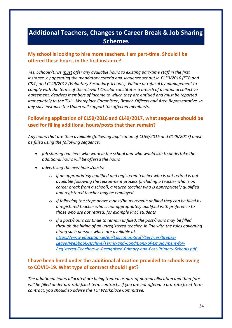# **Additional Teachers, Changes to Career Break & Job Sharing Schemes**

# **My school is looking to hire more teachers. I am part-time. Should I be offered these hours, in the first instance?**

*Yes. Schools/ETBs must offer any available hours to existing part-time staff in the first instance, by operating the mandatory criteria and sequence set out in CL59/2016 (ETB and C&C) and CL49/2017 (Voluntary Secondary Schools). Failure or refusal by management to comply with the terms of the relevant Circular constitutes a breach of a national collective agreement, deprives members of income to which they are entitled and must be reported immediately to the TUI – Workplace Committee, Branch Officers and Area Representative. In any such instance the Union will support the affected member/s.*

# **Following application of CL59/2016 and CL49/2017, what sequence should be used for filling additional hours/posts that then remain?**

*Any hours that are then available (following application of CL59/2016 and CL49/2017) must be filled using the following sequence:*

- *job sharing teachers who work in the school and who would like to undertake the additional hours will be offered the hours*
- *advertising the new hours/posts:* 
	- o *if an appropriately qualified and registered teacher who is not retired is not available following the recruitment process (including a teacher who is on career break from a school), a retired teacher who is appropriately qualified and registered teacher may be employed*
	- o *If following the steps above a post/hours remain unfilled they can be filled by a registered teacher who is not appropriately qualified with preference to those who are not retired, for example PME students*
	- o *If a post/hours continue to remain unfilled, the post/hours may be filled through the hiring of an unregistered teacher, in line with the rules governing hiring such persons which are available at: [https://www.education.ie/en/Education-Staff/Services/Breaks-](https://www.education.ie/en/Education-Staff/Services/Breaks-Leave/Webbook-Archive/Terms-and-Conditions-of-Employment-for-Registered-Teachers-in-Recognised-Primary-and-Post-Primary-Schools.pdf)[Leave/Webbook-Archive/Terms-and-Conditions-of-Employment-for-](https://www.education.ie/en/Education-Staff/Services/Breaks-Leave/Webbook-Archive/Terms-and-Conditions-of-Employment-for-Registered-Teachers-in-Recognised-Primary-and-Post-Primary-Schools.pdf)[Registered-Teachers-in-Recognised-Primary-and-Post-Primary-Schools.pdf](https://www.education.ie/en/Education-Staff/Services/Breaks-Leave/Webbook-Archive/Terms-and-Conditions-of-Employment-for-Registered-Teachers-in-Recognised-Primary-and-Post-Primary-Schools.pdf)*

# **I have been hired under the additional allocation provided to schools owing to COVID-19. What type of contract should I get?**

*The additional hours allocated are being treated as part of normal allocation and therefore will be filled under pro-rata fixed-term contracts. If you are not offered a pro-rata fixed-term contract, you should so advise the TUI Workplace Committee.*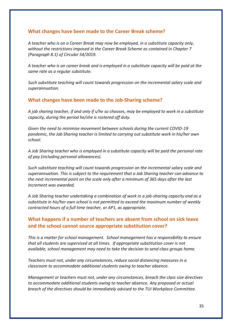## **What changes have been made to the Career Break scheme?**

*A teacher who is on a Career Break may now be employed, in a substitute capacity only, without the restrictions imposed in the Career Break Scheme as contained in Chapter 7 (Paragraph 8.1) of Circular 54/2019.* 

*A teacher who is on career break and is employed in a substitute capacity will be paid at the same rate as a regular substitute.*

*Such substitute teaching will count towards progression on the incremental salary scale and superannuation.*

#### **What changes have been made to the Job-Sharing scheme?**

*A job sharing teacher, if and only if s/he so chooses, may be employed to work in a substitute capacity, during the period he/she is rostered off duty.* 

*Given the need to minimise movement between schools during the current COVID-19 pandemic, the Job Sharing teacher is limited to carrying out substitute work in his/her own school.* 

*A Job Sharing teacher who is employed in a substitute capacity will be paid the personal rate of pay (including personal allowances).* 

*Such substitute teaching will count towards progression on the incremental salary scale and superannuation. This is subject to the requirement that a Job Sharing teacher can advance to the next incremental point on the scale only after a minimum of 365 days after the last increment was awarded.* 

*A Job Sharing teacher undertaking a combination of work in a job-sharing capacity and as a substitute in his/her own school is not permitted to exceed the maximum number of weekly contracted hours of a full time teacher, or AP1, as appropriate.*

# **What happens if a number of teachers are absent from school on sick leave and the school cannot source appropriate substitution cover?**

*This is a matter for school management. School management has a responsibility to ensure that all students are supervised at all times. If appropriate substitution cover is not available, school management may need to take the decision to send class groups home.*

*Teachers must not, under any circumstances, reduce social distancing measures in a classroom to accommodate additional students owing to teacher absence.*

*Management or teachers must not, under any circumstances, breach the class size directives to accommodate additional students owing to teacher absence. Any proposed or actual breach of the directives should be immediately advised to the TUI Workplace Committee.*